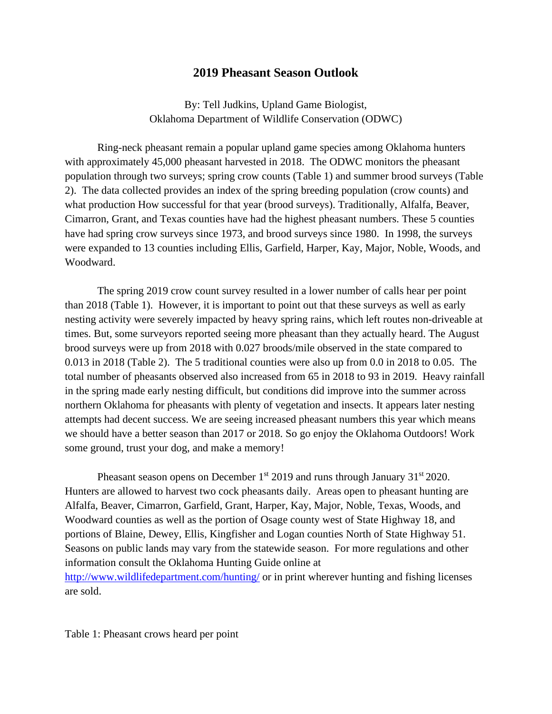## **2019 Pheasant Season Outlook**

By: Tell Judkins, Upland Game Biologist, Oklahoma Department of Wildlife Conservation (ODWC)

Ring-neck pheasant remain a popular upland game species among Oklahoma hunters with approximately 45,000 pheasant harvested in 2018. The ODWC monitors the pheasant population through two surveys; spring crow counts (Table 1) and summer brood surveys (Table 2). The data collected provides an index of the spring breeding population (crow counts) and what production How successful for that year (brood surveys). Traditionally, Alfalfa, Beaver, Cimarron, Grant, and Texas counties have had the highest pheasant numbers. These 5 counties have had spring crow surveys since 1973, and brood surveys since 1980. In 1998, the surveys were expanded to 13 counties including Ellis, Garfield, Harper, Kay, Major, Noble, Woods, and Woodward.

 The spring 2019 crow count survey resulted in a lower number of calls hear per point than 2018 (Table 1). However, it is important to point out that these surveys as well as early nesting activity were severely impacted by heavy spring rains, which left routes non-driveable at times. But, some surveyors reported seeing more pheasant than they actually heard. The August brood surveys were up from 2018 with 0.027 broods/mile observed in the state compared to 0.013 in 2018 (Table 2). The 5 traditional counties were also up from 0.0 in 2018 to 0.05. The total number of pheasants observed also increased from 65 in 2018 to 93 in 2019. Heavy rainfall in the spring made early nesting difficult, but conditions did improve into the summer across northern Oklahoma for pheasants with plenty of vegetation and insects. It appears later nesting attempts had decent success. We are seeing increased pheasant numbers this year which means we should have a better season than 2017 or 2018. So go enjoy the Oklahoma Outdoors! Work some ground, trust your dog, and make a memory!

Pheasant season opens on December  $1<sup>st</sup>$  2019 and runs through January 31 $<sup>st</sup>$  2020.</sup> Hunters are allowed to harvest two cock pheasants daily. Areas open to pheasant hunting are Alfalfa, Beaver, Cimarron, Garfield, Grant, Harper, Kay, Major, Noble, Texas, Woods, and Woodward counties as well as the portion of Osage county west of State Highway 18, and portions of Blaine, Dewey, Ellis, Kingfisher and Logan counties North of State Highway 51. Seasons on public lands may vary from the statewide season. For more regulations and other information consult the Oklahoma Hunting Guide online at <http://www.wildlifedepartment.com/hunting/>or in print wherever hunting and fishing licenses are sold.

Table 1: Pheasant crows heard per point